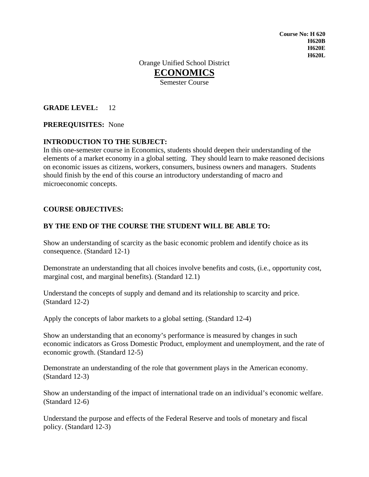**Course No: H 620 H620B H620E H620L** 

Orange Unified School District **ECONOMICS** Semester Course

**GRADE LEVEL:** 12

#### **PREREQUISITES:** None

#### **INTRODUCTION TO THE SUBJECT:**

In this one-semester course in Economics, students should deepen their understanding of the elements of a market economy in a global setting. They should learn to make reasoned decisions on economic issues as citizens, workers, consumers, business owners and managers. Students should finish by the end of this course an introductory understanding of macro and microeconomic concepts.

#### **COURSE OBJECTIVES:**

#### **BY THE END OF THE COURSE THE STUDENT WILL BE ABLE TO:**

Show an understanding of scarcity as the basic economic problem and identify choice as its consequence. (Standard 12-1)

Demonstrate an understanding that all choices involve benefits and costs, (i.e., opportunity cost, marginal cost, and marginal benefits). (Standard 12.1)

Understand the concepts of supply and demand and its relationship to scarcity and price. (Standard 12-2)

Apply the concepts of labor markets to a global setting. (Standard 12-4)

Show an understanding that an economy's performance is measured by changes in such economic indicators as Gross Domestic Product, employment and unemployment, and the rate of economic growth. (Standard 12-5)

Demonstrate an understanding of the role that government plays in the American economy. (Standard 12-3)

Show an understanding of the impact of international trade on an individual's economic welfare. (Standard 12-6)

Understand the purpose and effects of the Federal Reserve and tools of monetary and fiscal policy. (Standard 12-3)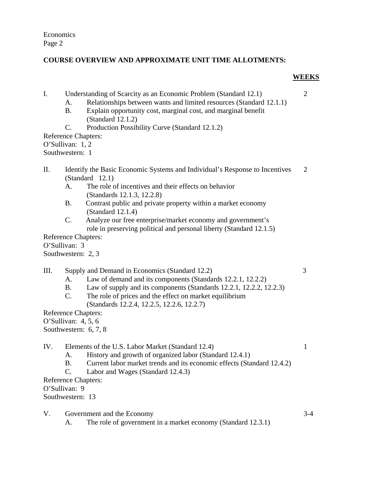# **COURSE OVERVIEW AND APPROXIMATE UNIT TIME ALLOTMENTS:**

### **WEEKS**

- I. Understanding of Scarcity as an Economic Problem (Standard 12.1) 2
	- A. Relationships between wants and limited resources (Standard 12.1.1)
	- B. Explain opportunity cost, marginal cost, and marginal benefit (Standard 12.1.2)
	- C. Production Possibility Curve (Standard 12.1.2)
- Reference Chapters:

O'Sullivan: 1, 2

- Southwestern: 1
- II. Identify the Basic Economic Systems and Individual's Response to Incentives 2 (Standard 12.1)
	- A. The role of incentives and their effects on behavior (Standards 12.1.3, 12.2.8)
	- B. Contrast public and private property within a market economy (Standard 12.1.4)
	- C. Analyze our free enterprise/market economy and government's role in preserving political and personal liberty (Standard 12.1.5)

Reference Chapters: O'Sullivan: 3

Southwestern: 2, 3

III. Supply and Demand in Economics (Standard 12.2) 3

- A. Law of demand and its components (Standards 12.2.1, 12.2.2)
- B. Law of supply and its components (Standards 12.2.1, 12.2.2, 12.2.3)
- C. The role of prices and the effect on market equilibrium (Standards 12.2.4, 12.2.5, 12.2.6, 12.2.7)

Reference Chapters:

O'Sullivan: 4, 5, 6

Southwestern: 6, 7, 8

IV. Elements of the U.S. Labor Market (Standard 12.4) 1

- A. History and growth of organized labor (Standard 12.4.1)
- B. Current labor market trends and its economic effects (Standard 12.4.2)
- C. Labor and Wages (Standard 12.4.3)

Reference Chapters:

O'Sullivan: 9

Southwestern: 13

V. Government and the Economy 3-4

A. The role of government in a market economy (Standard 12.3.1)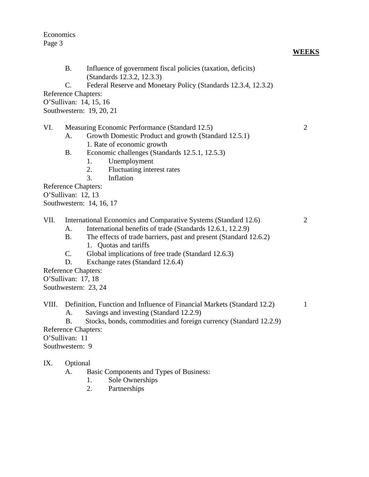- B. Influence of government fiscal policies (taxation, deficits) (Standards 12.3.2, 12.3.3)
- C. Federal Reserve and Monetary Policy (Standards 12.3.4, 12.3.2)

Reference Chapters:

O'Sullivan: 14, 15, 16

Southwestern: 19, 20, 21

- VI. Measuring Economic Performance (Standard 12.5) 2
	- A. Growth Domestic Product and growth (Standard 12.5.1)
		- 1. Rate of economic growth
	- B. Economic challenges (Standards 12.5.1, 12.5.3)
		- 1. Unemployment
		- 2. Fluctuating interest rates
		- 3. Inflation

Reference Chapters:

O'Sullivan: 12, 13

Southwestern: 14, 16, 17

- VII. International Economics and Comparative Systems (Standard 12.6) 2
	- A. International benefits of trade (Standards 12.6.1, 12.2.9)
	- B. The effects of trade barriers, past and present (Standard 12.6.2) 1. Quotas and tariffs
	- C. Global implications of free trade (Standard 12.6.3)
	- D. Exchange rates (Standard 12.6.4)

Reference Chapters:

O'Sullivan: 17, 18

Southwestern: 23, 24

VIII. Definition, Function and Influence of Financial Markets (Standard 12.2) 1

A. Savings and investing (Standard 12.2.9)

B. Stocks, bonds, commodities and foreign currency (Standard 12.2.9)

Reference Chapters:

O'Sullivan: 11

Southwestern: 9

#### IX. Optional

- A. Basic Components and Types of Business:
	- 1. Sole Ownerships
	- 2. Partnerships

**WEEKS**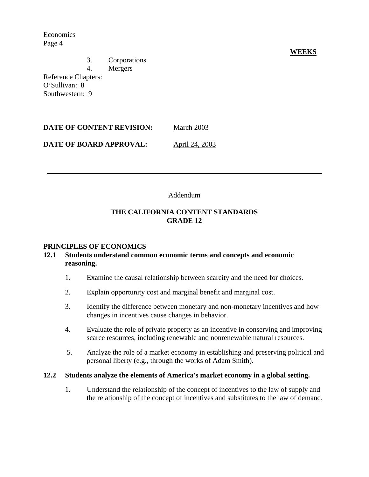3. Corporations

4. Mergers

Reference Chapters: O'Sullivan: 8 Southwestern: 9

| DATE OF CONTENT REVISION: | March 2003 |
|---------------------------|------------|
|                           |            |

**DATE OF BOARD APPROVAL:** April 24, 2003

## Addendum

# **THE CALIFORNIA CONTENT STANDARDS GRADE 12**

## **PRINCIPLES OF ECONOMICS**

#### **12.1 Students understand common economic terms and concepts and economic reasoning.**

- 1. Examine the causal relationship between scarcity and the need for choices.
- 2. Explain opportunity cost and marginal benefit and marginal cost.
- 3. Identify the difference between monetary and non-monetary incentives and how changes in incentives cause changes in behavior.
- 4. Evaluate the role of private property as an incentive in conserving and improving scarce resources, including renewable and nonrenewable natural resources.
- 5. Analyze the role of a market economy in establishing and preserving political and personal liberty (e.g., through the works of Adam Smith).

#### **12.2 Students analyze the elements of America's market economy in a global setting.**

1. Understand the relationship of the concept of incentives to the law of supply and the relationship of the concept of incentives and substitutes to the law of demand.

### **WEEKS**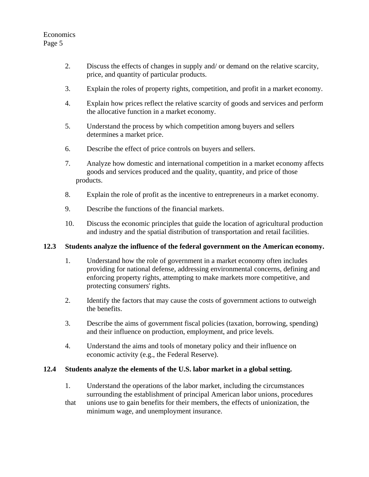- 2. Discuss the effects of changes in supply and/ or demand on the relative scarcity, price, and quantity of particular products.
- 3. Explain the roles of property rights, competition, and profit in a market economy.
- 4. Explain how prices reflect the relative scarcity of goods and services and perform the allocative function in a market economy.
- 5. Understand the process by which competition among buyers and sellers determines a market price.
- 6. Describe the effect of price controls on buyers and sellers.
- 7. Analyze how domestic and international competition in a market economy affects goods and services produced and the quality, quantity, and price of those products.
- 8. Explain the role of profit as the incentive to entrepreneurs in a market economy.
- 9. Describe the functions of the financial markets.
- 10. Discuss the economic principles that guide the location of agricultural production and industry and the spatial distribution of transportation and retail facilities.

#### **12.3 Students analyze the influence of the federal government on the American economy.**

- 1. Understand how the role of government in a market economy often includes providing for national defense, addressing environmental concerns, defining and enforcing property rights, attempting to make markets more competitive, and protecting consumers' rights.
- 2. Identify the factors that may cause the costs of government actions to outweigh the benefits.
- 3. Describe the aims of government fiscal policies (taxation, borrowing, spending) and their influence on production, employment, and price levels.
- 4. Understand the aims and tools of monetary policy and their influence on economic activity (e.g., the Federal Reserve).

#### **12.4 Students analyze the elements of the U.S. labor market in a global setting.**

- 1. Understand the operations of the labor market, including the circumstances surrounding the establishment of principal American labor unions, procedures
- that unions use to gain benefits for their members, the effects of unionization, the minimum wage, and unemployment insurance.